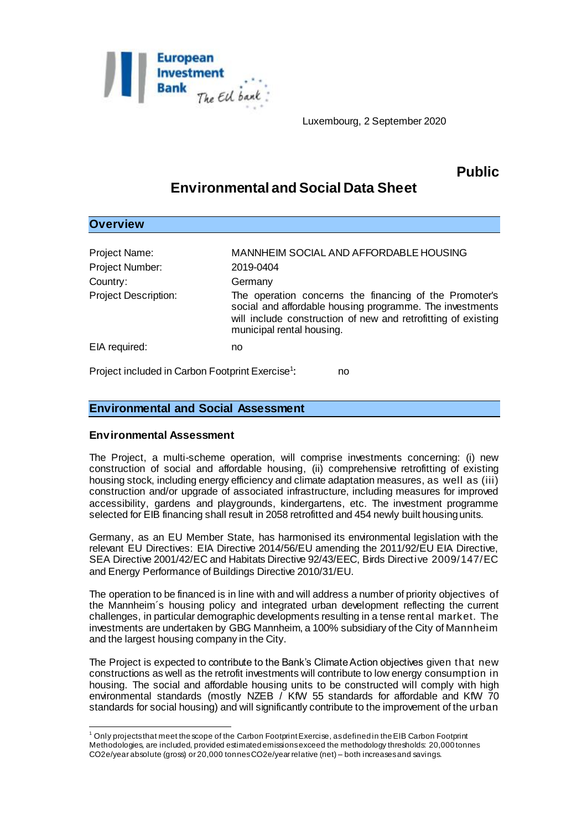

Luxembourg, 2 September 2020

## **Public**

# **Environmental and Social Data Sheet**

| <b>Overview</b>                                              |                                                                                                                                                                                                                  |
|--------------------------------------------------------------|------------------------------------------------------------------------------------------------------------------------------------------------------------------------------------------------------------------|
|                                                              |                                                                                                                                                                                                                  |
| Project Name:                                                | MANNHEIM SOCIAL AND AFFORDABLE HOUSING                                                                                                                                                                           |
| Project Number:                                              | 2019-0404                                                                                                                                                                                                        |
| Country:                                                     | Germany                                                                                                                                                                                                          |
| <b>Project Description:</b>                                  | The operation concerns the financing of the Promoter's<br>social and affordable housing programme. The investments<br>will include construction of new and retrofitting of existing<br>municipal rental housing. |
| EIA required:                                                | no                                                                                                                                                                                                               |
| Project included in Carbon Footprint Exercise <sup>1</sup> : | no                                                                                                                                                                                                               |

### **Environmental and Social Assessment**

#### **Environmental Assessment**

The Project, a multi-scheme operation, will comprise investments concerning: (i) new construction of social and affordable housing, (ii) comprehensive retrofitting of existing housing stock, including energy efficiency and climate adaptation measures, as well as (iii) construction and/or upgrade of associated infrastructure, including measures for improved accessibility, gardens and playgrounds, kindergartens, etc. The investment programme selected for EIB financing shall result in 2058 retrofitted and 454 newly built housing units.

Germany, as an EU Member State, has harmonised its environmental legislation with the relevant EU Directives: EIA Directive 2014/56/EU amending the 2011/92/EU EIA Directive, SEA Directive 2001/42/EC and Habitats Directive 92/43/EEC, Birds Directive 2009/147/EC and Energy Performance of Buildings Directive 2010/31/EU.

The operation to be financed is in line with and will address a number of priority objectives of the Mannheim´s housing policy and integrated urban development reflecting the current challenges, in particular demographic developments resulting in a tense rental market. The investments are undertaken by GBG Mannheim, a 100% subsidiary of the City of Mannheim and the largest housing company in the City.

The Project is expected to contribute to the Bank's Climate Action objectives given that new constructions as well as the retrofit investments will contribute to low energy consumption in housing. The social and affordable housing units to be constructed will comply with high environmental standards (mostly NZEB / KfW 55 standards for affordable and KfW 70 standards for social housing) and will significantly contribute to the improvement of the urban

l <sup>1</sup> Only projects that meet the scope of the Carbon Footprint Exercise, as defined in the EIB Carbon Footprint Methodologies, are included, provided estimated emissions exceed the methodology thresholds: 20,000 tonnes CO2e/year absolute (gross) or 20,000 tonnes CO2e/year relative (net) – both increases and savings.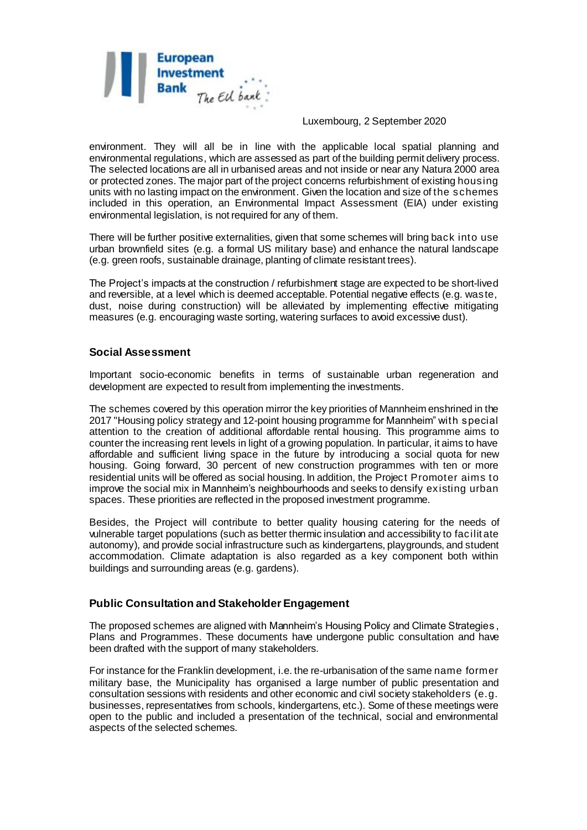

#### Luxembourg, 2 September 2020

environment. They will all be in line with the applicable local spatial planning and environmental regulations, which are assessed as part of the building permit delivery process. The selected locations are all in urbanised areas and not inside or near any Natura 2000 area or protected zones. The major part of the project concerns refurbishment of existing housing units with no lasting impact on the environment. Given the location and size of the schemes included in this operation, an Environmental Impact Assessment (EIA) under existing environmental legislation, is not required for any of them.

There will be further positive externalities, given that some schemes will bring back into use urban brownfield sites (e.g. a formal US military base) and enhance the natural landscape (e.g. green roofs, sustainable drainage, planting of climate resistant trees).

The Project's impacts at the construction / refurbishment stage are expected to be short-lived and reversible, at a level which is deemed acceptable. Potential negative effects (e.g. waste, dust, noise during construction) will be alleviated by implementing effective mitigating measures (e.g. encouraging waste sorting, watering surfaces to avoid excessive dust).

#### **Social Assessment**

Important socio-economic benefits in terms of sustainable urban regeneration and development are expected to result from implementing the investments.

The schemes covered by this operation mirror the key priorities of Mannheim enshrined in the 2017 "Housing policy strategy and 12-point housing programme for Mannheim" with special attention to the creation of additional affordable rental housing. This programme aims to counter the increasing rent levels in light of a growing population. In particular, it aims to have affordable and sufficient living space in the future by introducing a social quota for new housing. Going forward, 30 percent of new construction programmes with ten or more residential units will be offered as social housing. In addition, the Project Promoter aims to improve the social mix in Mannheim's neighbourhoods and seeks to densify existing urban spaces. These priorities are reflected in the proposed investment programme.

Besides, the Project will contribute to better quality housing catering for the needs of vulnerable target populations (such as better thermic insulation and accessibility to facilit ate autonomy), and provide social infrastructure such as kindergartens, playgrounds, and student accommodation. Climate adaptation is also regarded as a key component both within buildings and surrounding areas (e.g. gardens).

#### **Public Consultation and Stakeholder Engagement**

The proposed schemes are aligned with Mannheim's Housing Policy and Climate Strategies , Plans and Programmes. These documents have undergone public consultation and have been drafted with the support of many stakeholders.

For instance for the Franklin development, i.e. the re-urbanisation of the same name former military base, the Municipality has organised a large number of public presentation and consultation sessions with residents and other economic and civil society stakeholders (e.g. businesses, representatives from schools, kindergartens, etc.). Some of these meetings were open to the public and included a presentation of the technical, social and environmental aspects of the selected schemes.